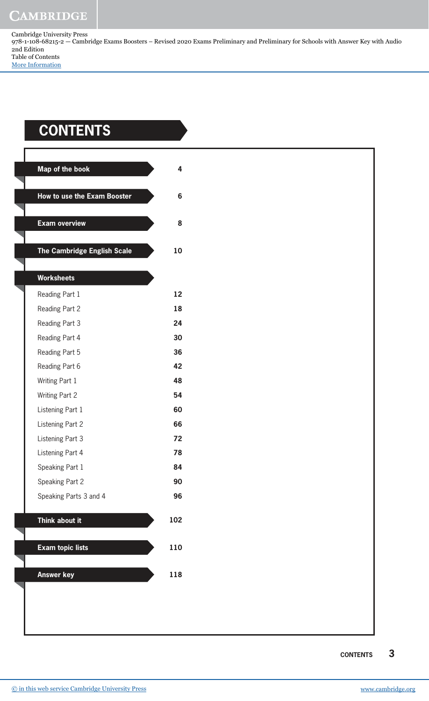Cambridge University Press 978-1-108-68215-2 — Cambridge Exams Boosters – Revised 2020 Exams Preliminary and Preliminary for Schools with Answer Key with Audio 2nd Edition Table of Contents [More Information](www.cambridge.org/9781108682152)

## **ContEntS**

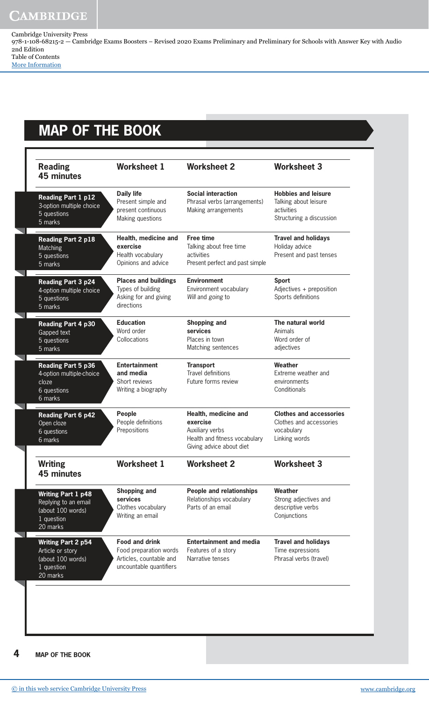## **CAMBRIDGE**

Cambridge University Press 978-1-108-68215-2 — Cambridge Exams Boosters – Revised 2020 Exams Preliminary and Preliminary for Schools with Answer Key with Audio 2nd Edition Table of Contents [More Information](www.cambridge.org/9781108682152)

**MAP oF tHE BooK**

| <b>Reading</b><br><b>45 minutes</b>                                                              | <b>Worksheet 1</b>                                                                                    | <b>Worksheet 2</b>                                                                                               | <b>Worksheet 3</b>                                                                            |
|--------------------------------------------------------------------------------------------------|-------------------------------------------------------------------------------------------------------|------------------------------------------------------------------------------------------------------------------|-----------------------------------------------------------------------------------------------|
| <b>Reading Part 1 p12</b><br>3-option multiple choice<br>5 questions<br>5 marks                  | <b>Daily life</b><br>Present simple and<br>present continuous<br>Making questions                     | <b>Social interaction</b><br>Phrasal verbs (arrangements)<br>Making arrangements                                 | <b>Hobbies and leisure</b><br>Talking about leisure<br>activities<br>Structuring a discussion |
| <b>Reading Part 2 p18</b><br>Matching<br>5 questions<br>5 marks                                  | Health, medicine and<br>exercise<br>Health vocabulary<br>Opinions and advice                          | <b>Free time</b><br>Talking about free time<br>activities<br>Present perfect and past simple                     | <b>Travel and holidays</b><br>Holiday advice<br>Present and past tenses                       |
| <b>Reading Part 3 p24</b><br>4-option multiple choice<br>5 questions<br>5 marks                  | <b>Places and buildings</b><br>Types of building<br>Asking for and giving<br>directions               | <b>Environment</b><br>Environment vocabulary<br>Will and going to                                                | <b>Sport</b><br>Adjectives + preposition<br>Sports definitions                                |
| <b>Reading Part 4 p30</b><br>Gapped text<br>5 questions<br>$\overline{5}$ marks                  | <b>Education</b><br>Word order<br>Collocations                                                        | Shopping and<br>services<br>Places in town<br>Matching sentences                                                 | The natural world<br>Animals<br>Word order of<br>adjectives                                   |
| <b>Reading Part 5 p36</b><br>4-option multiple-choice<br>cloze<br>6 questions<br>6 marks         | <b>Entertainment</b><br>and media<br>Short reviews<br>Writing a biography                             | <b>Transport</b><br><b>Travel definitions</b><br>Future forms review                                             | Weather<br>Extreme weather and<br>environments<br>Conditionals                                |
| <b>Reading Part 6 p42</b><br>Open cloze<br>6 questions<br>6 marks                                | <b>People</b><br>People definitions<br>Prepositions                                                   | Health, medicine and<br>exercise<br>Auxiliary verbs<br>Health and fitness vocabulary<br>Giving advice about diet | <b>Clothes and accessories</b><br>Clothes and accessories<br>vocabulary<br>Linking words      |
| <b>Writing</b><br><b>45 minutes</b>                                                              | <b>Worksheet 1</b>                                                                                    | <b>Worksheet 2</b>                                                                                               | <b>Worksheet 3</b>                                                                            |
| <b>Writing Part 1 p48</b><br>Replying to an email<br>(about 100 words)<br>1 question<br>20 marks | <b>Shopping and</b><br>services<br>Clothes vocabulary<br>Writing an email                             | <b>People and relationships</b><br>Relationships vocabulary<br>Parts of an email                                 | Weather<br>Strong adjectives and<br>descriptive verbs<br>Conjunctions                         |
| <b>Writing Part 2 p54</b><br>Article or story<br>(about 100 words)<br>1 question<br>20 marks     | <b>Food and drink</b><br>Food preparation words<br>Articles, countable and<br>uncountable quantifiers | <b>Entertainment and media</b><br>Features of a story<br>Narrative tenses                                        | <b>Travel and holidays</b><br>Time expressions<br>Phrasal verbs (travel)                      |

**4 MAP oF tHE BooK**